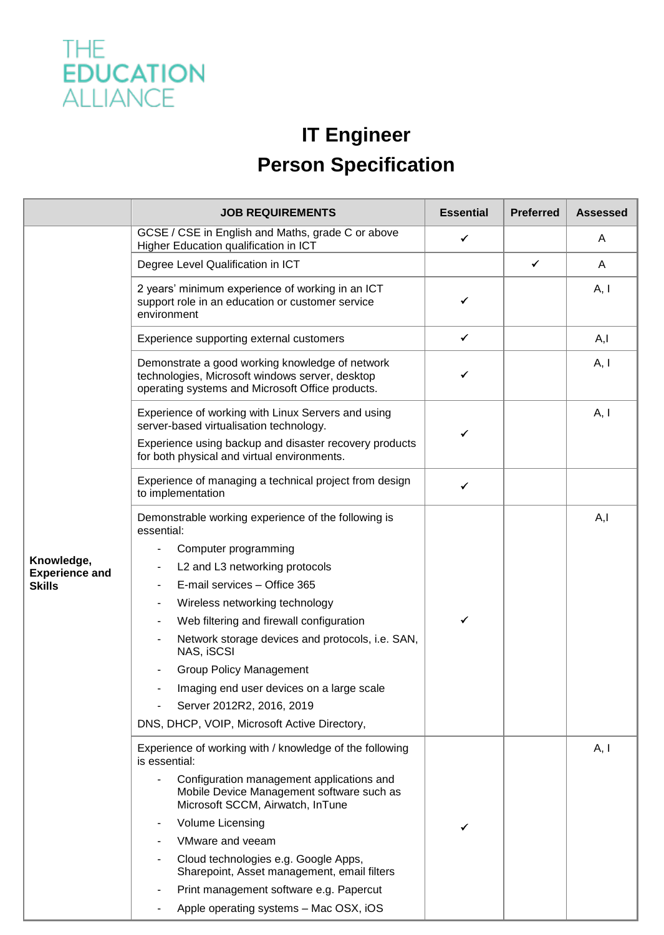

## **IT Engineer**

## **Person Specification**

|                                                      | <b>JOB REQUIREMENTS</b>                                                                                                                                                                                                                                                                                                                                                                                                 | <b>Essential</b> | <b>Preferred</b> | <b>Assessed</b> |
|------------------------------------------------------|-------------------------------------------------------------------------------------------------------------------------------------------------------------------------------------------------------------------------------------------------------------------------------------------------------------------------------------------------------------------------------------------------------------------------|------------------|------------------|-----------------|
|                                                      | GCSE / CSE in English and Maths, grade C or above<br>Higher Education qualification in ICT                                                                                                                                                                                                                                                                                                                              | $\checkmark$     |                  | A               |
|                                                      | Degree Level Qualification in ICT                                                                                                                                                                                                                                                                                                                                                                                       |                  | ✓                | A               |
|                                                      | 2 years' minimum experience of working in an ICT<br>support role in an education or customer service<br>environment                                                                                                                                                                                                                                                                                                     | ✔                |                  | A, I            |
|                                                      | Experience supporting external customers                                                                                                                                                                                                                                                                                                                                                                                | ✓                |                  | A, I            |
| Knowledge,<br><b>Experience and</b><br><b>Skills</b> | Demonstrate a good working knowledge of network<br>technologies, Microsoft windows server, desktop<br>operating systems and Microsoft Office products.                                                                                                                                                                                                                                                                  | ✔                |                  | A, I            |
|                                                      | Experience of working with Linux Servers and using<br>server-based virtualisation technology.<br>Experience using backup and disaster recovery products<br>for both physical and virtual environments.                                                                                                                                                                                                                  | ✓                |                  | A, I            |
|                                                      | Experience of managing a technical project from design<br>to implementation                                                                                                                                                                                                                                                                                                                                             | ✓                |                  |                 |
|                                                      | Demonstrable working experience of the following is<br>essential:<br>Computer programming<br>L2 and L3 networking protocols<br>E-mail services - Office 365<br>Wireless networking technology<br>Web filtering and firewall configuration<br>Network storage devices and protocols, i.e. SAN,<br>NAS, iSCSI<br><b>Group Policy Management</b><br>Imaging end user devices on a large scale<br>Server 2012R2, 2016, 2019 | ✓                |                  | A, I            |
|                                                      | DNS, DHCP, VOIP, Microsoft Active Directory,                                                                                                                                                                                                                                                                                                                                                                            |                  |                  |                 |
|                                                      | Experience of working with / knowledge of the following<br>is essential:<br>Configuration management applications and                                                                                                                                                                                                                                                                                                   |                  |                  | A, I            |
|                                                      | Mobile Device Management software such as<br>Microsoft SCCM, Airwatch, InTune                                                                                                                                                                                                                                                                                                                                           |                  |                  |                 |
|                                                      | <b>Volume Licensing</b><br>$\overline{\phantom{a}}$                                                                                                                                                                                                                                                                                                                                                                     |                  |                  |                 |
|                                                      | VMware and veeam                                                                                                                                                                                                                                                                                                                                                                                                        |                  |                  |                 |
|                                                      | Cloud technologies e.g. Google Apps,<br>Sharepoint, Asset management, email filters                                                                                                                                                                                                                                                                                                                                     |                  |                  |                 |
|                                                      | Print management software e.g. Papercut                                                                                                                                                                                                                                                                                                                                                                                 |                  |                  |                 |
|                                                      | Apple operating systems - Mac OSX, iOS                                                                                                                                                                                                                                                                                                                                                                                  |                  |                  |                 |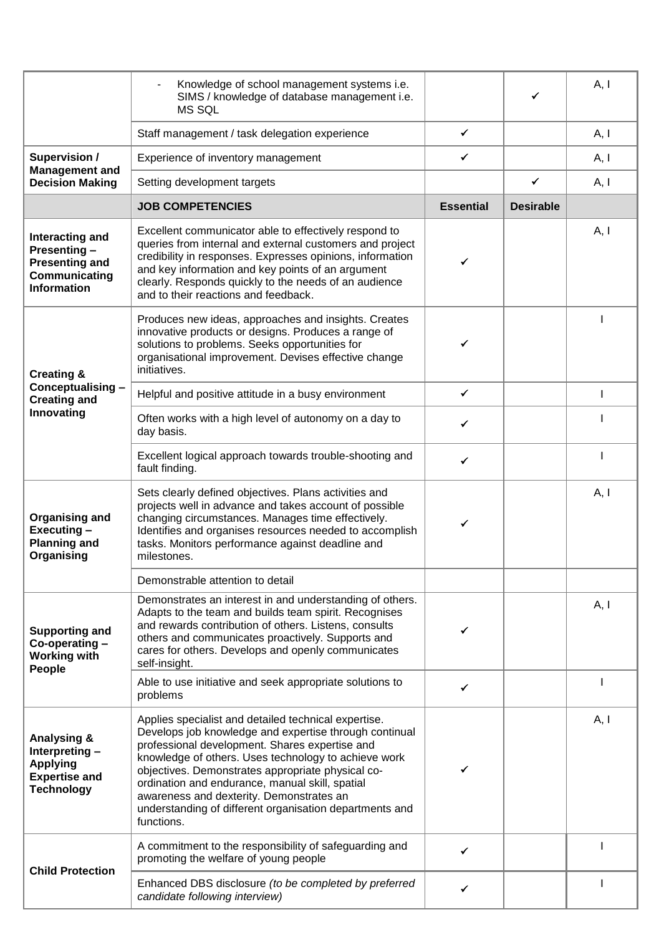|                                                                                                          | Knowledge of school management systems i.e.<br>SIMS / knowledge of database management i.e.<br><b>MS SQL</b>                                                                                                                                                                                                                                                                                                                                          |                  |                  | A, I         |
|----------------------------------------------------------------------------------------------------------|-------------------------------------------------------------------------------------------------------------------------------------------------------------------------------------------------------------------------------------------------------------------------------------------------------------------------------------------------------------------------------------------------------------------------------------------------------|------------------|------------------|--------------|
|                                                                                                          | Staff management / task delegation experience                                                                                                                                                                                                                                                                                                                                                                                                         | ✓                |                  | A, I         |
| <b>Supervision /</b><br><b>Management and</b><br><b>Decision Making</b>                                  | Experience of inventory management                                                                                                                                                                                                                                                                                                                                                                                                                    | ✓                |                  | A, I         |
|                                                                                                          | Setting development targets                                                                                                                                                                                                                                                                                                                                                                                                                           |                  | ✓                | A, I         |
|                                                                                                          | <b>JOB COMPETENCIES</b>                                                                                                                                                                                                                                                                                                                                                                                                                               | <b>Essential</b> | <b>Desirable</b> |              |
| Interacting and<br>Presenting-<br><b>Presenting and</b><br>Communicating<br><b>Information</b>           | Excellent communicator able to effectively respond to<br>queries from internal and external customers and project<br>credibility in responses. Expresses opinions, information<br>and key information and key points of an argument<br>clearly. Responds quickly to the needs of an audience<br>and to their reactions and feedback.                                                                                                                  | ✔                |                  | A, I         |
| <b>Creating &amp;</b><br>Conceptualising -<br><b>Creating and</b><br>Innovating                          | Produces new ideas, approaches and insights. Creates<br>innovative products or designs. Produces a range of<br>solutions to problems. Seeks opportunities for<br>organisational improvement. Devises effective change<br>initiatives.                                                                                                                                                                                                                 | ✔                |                  |              |
|                                                                                                          | Helpful and positive attitude in a busy environment                                                                                                                                                                                                                                                                                                                                                                                                   | $\checkmark$     |                  | $\mathbf{I}$ |
|                                                                                                          | Often works with a high level of autonomy on a day to<br>day basis.                                                                                                                                                                                                                                                                                                                                                                                   | ✓                |                  |              |
|                                                                                                          | Excellent logical approach towards trouble-shooting and<br>fault finding.                                                                                                                                                                                                                                                                                                                                                                             | ✓                |                  |              |
| <b>Organising and</b><br>Executing-<br><b>Planning and</b><br>Organising                                 | Sets clearly defined objectives. Plans activities and<br>projects well in advance and takes account of possible<br>changing circumstances. Manages time effectively.<br>Identifies and organises resources needed to accomplish<br>tasks. Monitors performance against deadline and<br>milestones.                                                                                                                                                    | ✓                |                  | A, I         |
|                                                                                                          | Demonstrable attention to detail                                                                                                                                                                                                                                                                                                                                                                                                                      |                  |                  |              |
| <b>Supporting and</b><br>Co-operating-<br><b>Working with</b><br>People                                  | Demonstrates an interest in and understanding of others.<br>Adapts to the team and builds team spirit. Recognises<br>and rewards contribution of others. Listens, consults<br>others and communicates proactively. Supports and<br>cares for others. Develops and openly communicates<br>self-insight.                                                                                                                                                | ✓                |                  | A, I         |
|                                                                                                          | Able to use initiative and seek appropriate solutions to<br>problems                                                                                                                                                                                                                                                                                                                                                                                  | ✓                |                  |              |
| <b>Analysing &amp;</b><br>Interpreting -<br><b>Applying</b><br><b>Expertise and</b><br><b>Technology</b> | Applies specialist and detailed technical expertise.<br>Develops job knowledge and expertise through continual<br>professional development. Shares expertise and<br>knowledge of others. Uses technology to achieve work<br>objectives. Demonstrates appropriate physical co-<br>ordination and endurance, manual skill, spatial<br>awareness and dexterity. Demonstrates an<br>understanding of different organisation departments and<br>functions. |                  |                  | A, I         |
| <b>Child Protection</b>                                                                                  | A commitment to the responsibility of safeguarding and<br>promoting the welfare of young people                                                                                                                                                                                                                                                                                                                                                       | ✓                |                  |              |
|                                                                                                          | Enhanced DBS disclosure (to be completed by preferred<br>candidate following interview)                                                                                                                                                                                                                                                                                                                                                               | ✔                |                  |              |